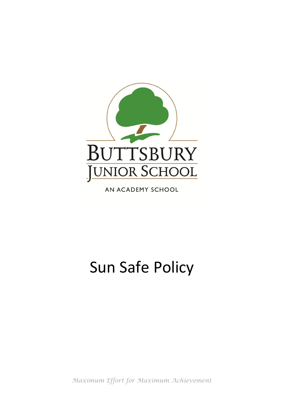

AN ACADEMY SCHOOL

# Sun Safe Policy

*Maximum Effort for Maximum Achievement*